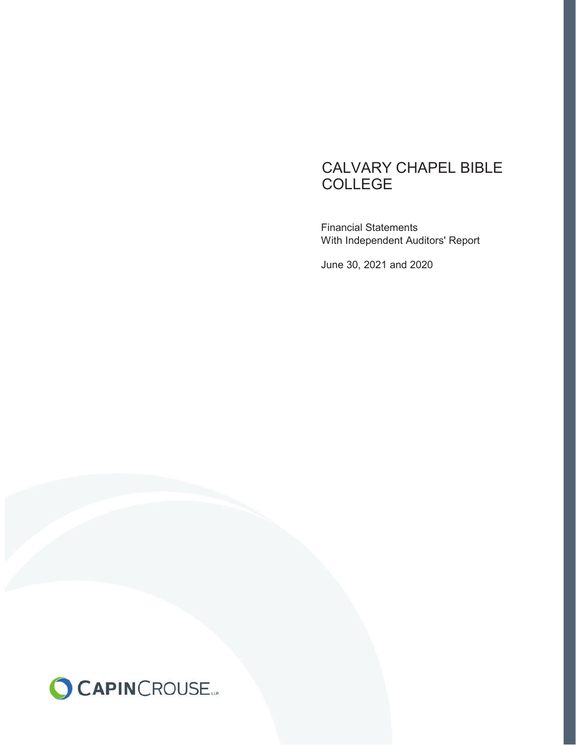Financial Statements With Independent Auditors' Report

June 30, 2021 and 2020

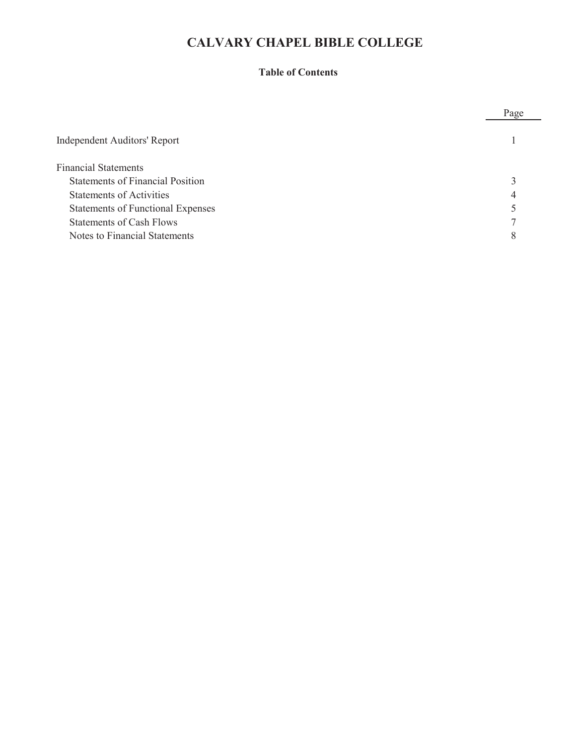### **Table of Contents**

|                                          | Page |
|------------------------------------------|------|
| Independent Auditors' Report             |      |
| <b>Financial Statements</b>              |      |
| <b>Statements of Financial Position</b>  |      |
| <b>Statements of Activities</b>          | 4    |
| <b>Statements of Functional Expenses</b> |      |
| <b>Statements of Cash Flows</b>          | ┑    |
| Notes to Financial Statements            | 8    |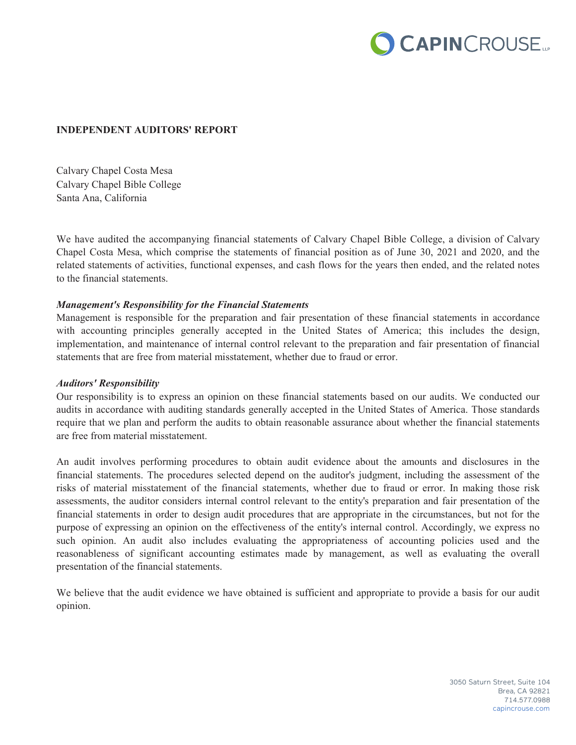

#### **INDEPENDENT AUDITORS' REPORT**

Calvary Chapel Costa Mesa Calvary Chapel Bible College Santa Ana, California

We have audited the accompanying financial statements of Calvary Chapel Bible College, a division of Calvary Chapel Costa Mesa, which comprise the statements of financial position as of June 30, 2021 and 2020, and the related statements of activities, functional expenses, and cash flows for the years then ended, and the related notes to the financial statements.

#### *Management's Responsibility for the Financial Statements*

Management is responsible for the preparation and fair presentation of these financial statements in accordance with accounting principles generally accepted in the United States of America; this includes the design, implementation, and maintenance of internal control relevant to the preparation and fair presentation of financial statements that are free from material misstatement, whether due to fraud or error.

#### *Auditors' Responsibility*

Our responsibility is to express an opinion on these financial statements based on our audits. We conducted our audits in accordance with auditing standards generally accepted in the United States of America. Those standards require that we plan and perform the audits to obtain reasonable assurance about whether the financial statements are free from material misstatement.

An audit involves performing procedures to obtain audit evidence about the amounts and disclosures in the financial statements. The procedures selected depend on the auditor's judgment, including the assessment of the risks of material misstatement of the financial statements, whether due to fraud or error. In making those risk assessments, the auditor considers internal control relevant to the entity's preparation and fair presentation of the financial statements in order to design audit procedures that are appropriate in the circumstances, but not for the purpose of expressing an opinion on the effectiveness of the entity's internal control. Accordingly, we express no such opinion. An audit also includes evaluating the appropriateness of accounting policies used and the reasonableness of significant accounting estimates made by management, as well as evaluating the overall presentation of the financial statements.

We believe that the audit evidence we have obtained is sufficient and appropriate to provide a basis for our audit opinion.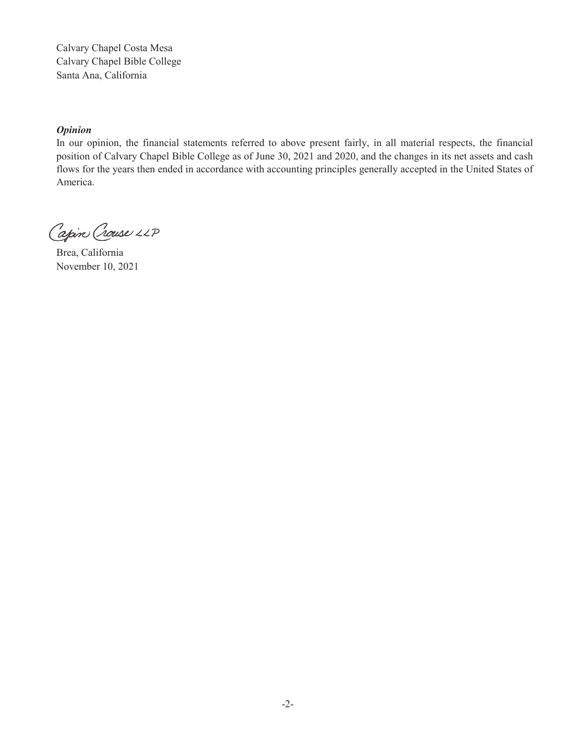Calvary Chapel Costa Mesa Calvary Chapel Bible College Santa Ana, California

#### *Opinion*

In our opinion, the financial statements referred to above present fairly, in all material respects, the financial position of Calvary Chapel Bible College as of June 30, 2021 and 2020, and the changes in its net assets and cash flows for the years then ended in accordance with accounting principles generally accepted in the United States of America.

Capin Crouse LLP

Brea, California November 10, 2021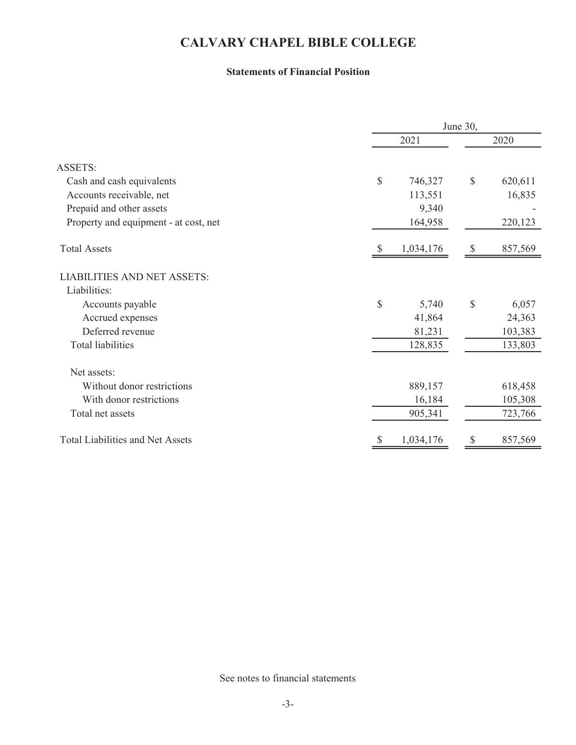#### **Statements of Financial Position**

|                                         | June 30, |           |                           |         |  |  |
|-----------------------------------------|----------|-----------|---------------------------|---------|--|--|
|                                         | 2021     |           |                           | 2020    |  |  |
| <b>ASSETS:</b>                          |          |           |                           |         |  |  |
| Cash and cash equivalents               | \$       | 746,327   | \$                        | 620,611 |  |  |
| Accounts receivable, net                |          | 113,551   |                           | 16,835  |  |  |
| Prepaid and other assets                |          | 9,340     |                           |         |  |  |
| Property and equipment - at cost, net   |          | 164,958   |                           | 220,123 |  |  |
| <b>Total Assets</b>                     |          | 1,034,176 | $\boldsymbol{\mathsf{S}}$ | 857,569 |  |  |
| <b>LIABILITIES AND NET ASSETS:</b>      |          |           |                           |         |  |  |
| Liabilities:                            |          |           |                           |         |  |  |
| Accounts payable                        | \$       | 5,740     | \$                        | 6,057   |  |  |
| Accrued expenses                        |          | 41,864    |                           | 24,363  |  |  |
| Deferred revenue                        |          | 81,231    |                           | 103,383 |  |  |
| <b>Total liabilities</b>                |          | 128,835   |                           | 133,803 |  |  |
| Net assets:                             |          |           |                           |         |  |  |
| Without donor restrictions              |          | 889,157   |                           | 618,458 |  |  |
| With donor restrictions                 |          | 16,184    |                           | 105,308 |  |  |
| Total net assets                        |          | 905,341   |                           | 723,766 |  |  |
| <b>Total Liabilities and Net Assets</b> |          | 1,034,176 | S                         | 857,569 |  |  |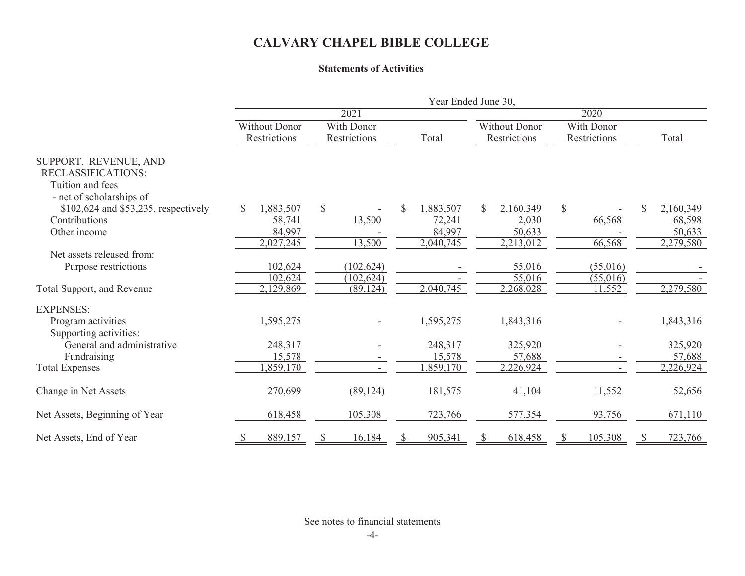#### **Statements of Activities**

|                                                                                                                                                                             | Year Ended June 30,                  |                                    |                                                |                                               |                                |                                                |  |  |
|-----------------------------------------------------------------------------------------------------------------------------------------------------------------------------|--------------------------------------|------------------------------------|------------------------------------------------|-----------------------------------------------|--------------------------------|------------------------------------------------|--|--|
|                                                                                                                                                                             |                                      | 2021                               |                                                | 2020                                          |                                |                                                |  |  |
|                                                                                                                                                                             | <b>Without Donor</b><br>Restrictions | With Donor<br>Restrictions         | Total                                          | <b>Without Donor</b><br>Restrictions          | With Donor<br>Restrictions     | Total                                          |  |  |
| SUPPORT, REVENUE, AND<br><b>RECLASSIFICATIONS:</b><br>Tuition and fees<br>- net of scholarships of<br>\$102,624 and \$53,235, respectively<br>Contributions<br>Other income | 1,883,507<br>\$<br>58,741<br>84,997  | $\mathbb{S}$<br>13,500             | 1,883,507<br><sup>\$</sup><br>72,241<br>84,997 | $\mathcal{S}$<br>2,160,349<br>2,030<br>50,633 | $\mathbb{S}$<br>66,568         | $\mathcal{S}$<br>2,160,349<br>68,598<br>50,633 |  |  |
| Net assets released from:<br>Purpose restrictions                                                                                                                           | 2,027,245<br>102,624<br>102,624      | 13,500<br>(102, 624)<br>(102, 624) | 2,040,745                                      | $\overline{2,213,012}$<br>55,016<br>55,016    | 66,568<br>(55,016)<br>(55,016) | 2,279,580                                      |  |  |
| Total Support, and Revenue                                                                                                                                                  | 2,129,869                            | (89, 124)                          | 2,040,745                                      | 2,268,028                                     | 11,552                         | 2,279,580                                      |  |  |
| <b>EXPENSES:</b><br>Program activities<br>Supporting activities:                                                                                                            | 1,595,275                            |                                    | 1,595,275                                      | 1,843,316                                     |                                | 1,843,316                                      |  |  |
| General and administrative<br>Fundraising                                                                                                                                   | 248,317<br>15,578                    |                                    | 248,317<br>15,578                              | 325,920<br>57,688                             |                                | 325,920<br>57,688                              |  |  |
| <b>Total Expenses</b>                                                                                                                                                       | 1,859,170                            |                                    | 1,859,170                                      | 2,226,924                                     |                                | 2,226,924                                      |  |  |
| Change in Net Assets                                                                                                                                                        | 270,699                              | (89, 124)                          | 181,575                                        | 41,104                                        | 11,552                         | 52,656                                         |  |  |
| Net Assets, Beginning of Year                                                                                                                                               | 618,458                              | 105,308                            | 723,766                                        | 577,354                                       | 93,756                         | 671,110                                        |  |  |
| Net Assets, End of Year                                                                                                                                                     | 889,157                              | 16,184                             | 905,341                                        | 618,458                                       | 105,308                        | 723,766                                        |  |  |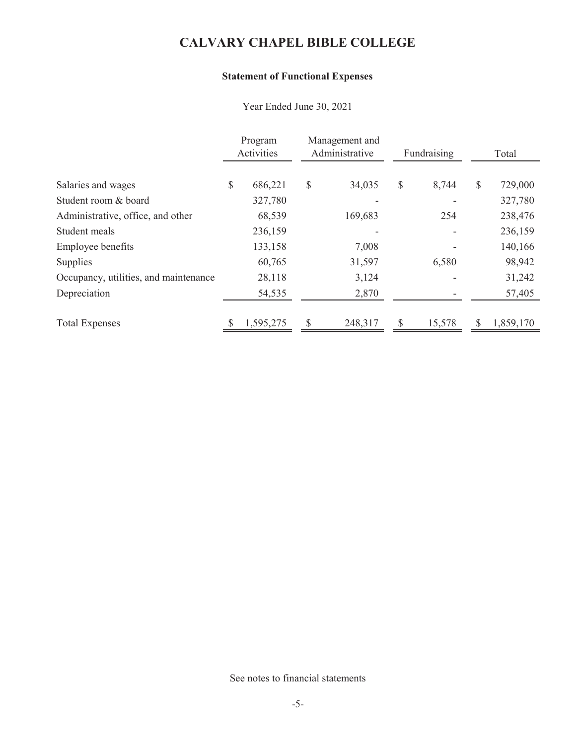### **Statement of Functional Expenses**

### Year Ended June 30, 2021

|                                       | Program<br>Activities |    | Management and<br>Administrative | Fundraising |              | Total     |
|---------------------------------------|-----------------------|----|----------------------------------|-------------|--------------|-----------|
| Salaries and wages                    | \$<br>686,221         | \$ | 34,035                           | \$<br>8,744 | $\mathbb{S}$ | 729,000   |
| Student room & board                  | 327,780               |    |                                  |             |              | 327,780   |
| Administrative, office, and other     | 68,539                |    | 169,683                          | 254         |              | 238,476   |
| Student meals                         | 236,159               |    |                                  |             |              | 236,159   |
| Employee benefits                     | 133,158               |    | 7,008                            |             |              | 140,166   |
| Supplies                              | 60,765                |    | 31,597                           | 6,580       |              | 98,942    |
| Occupancy, utilities, and maintenance | 28,118                |    | 3,124                            |             |              | 31,242    |
| Depreciation                          | 54,535                |    | 2,870                            |             |              | 57,405    |
| <b>Total Expenses</b>                 | 1,595,275             | S  | 248,317                          | 15,578      |              | 1,859,170 |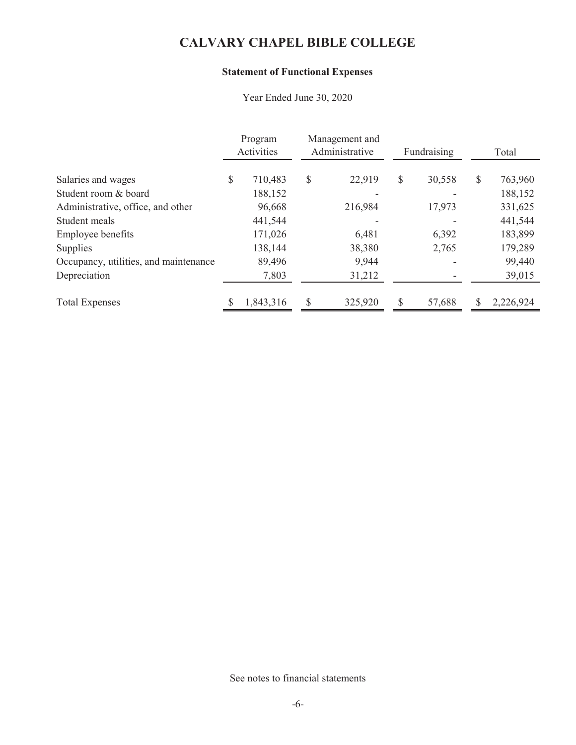### **Statement of Functional Expenses**

Year Ended June 30, 2020

|                                       |   | Program<br>Activities | Management and<br>Administrative | Fundraising  |              | Total     |
|---------------------------------------|---|-----------------------|----------------------------------|--------------|--------------|-----------|
| Salaries and wages                    | S | 710,483               | \$<br>22,919                     | \$<br>30,558 | $\mathbb{S}$ | 763,960   |
| Student room & board                  |   | 188,152               |                                  |              |              | 188,152   |
| Administrative, office, and other     |   | 96,668                | 216,984                          | 17,973       |              | 331,625   |
| Student meals                         |   | 441,544               |                                  |              |              | 441,544   |
| Employee benefits                     |   | 171,026               | 6,481                            | 6,392        |              | 183,899   |
| Supplies                              |   | 138,144               | 38,380                           | 2,765        |              | 179,289   |
| Occupancy, utilities, and maintenance |   | 89,496                | 9,944                            |              |              | 99,440    |
| Depreciation                          |   | 7,803                 | 31,212                           |              |              | 39,015    |
| <b>Total Expenses</b>                 |   | 1,843,316             | 325,920                          | 57,688       |              | 2,226,924 |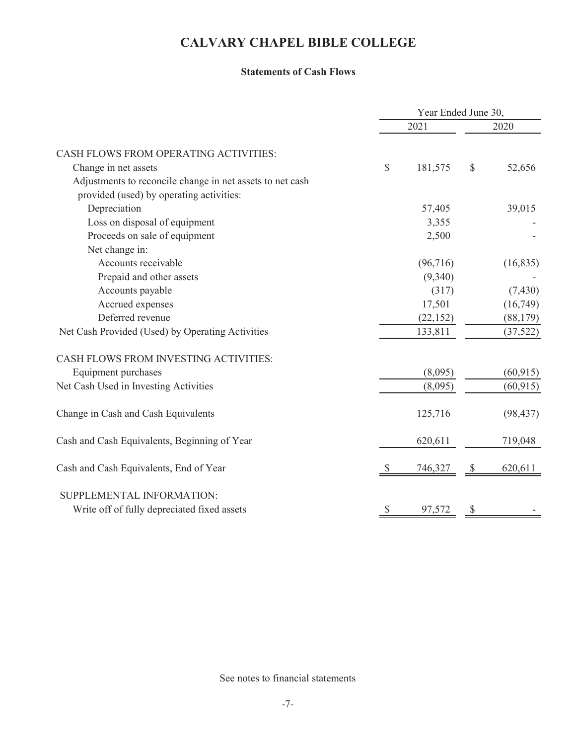#### **Statements of Cash Flows**

|                                                           | Year Ended June 30, |           |                            |           |
|-----------------------------------------------------------|---------------------|-----------|----------------------------|-----------|
|                                                           |                     | 2021      |                            | 2020      |
| CASH FLOWS FROM OPERATING ACTIVITIES:                     |                     |           |                            |           |
| Change in net assets                                      | $\mathbb{S}$        | 181,575   | \$                         | 52,656    |
| Adjustments to reconcile change in net assets to net cash |                     |           |                            |           |
| provided (used) by operating activities:                  |                     |           |                            |           |
| Depreciation                                              |                     | 57,405    |                            | 39,015    |
| Loss on disposal of equipment                             |                     | 3,355     |                            |           |
| Proceeds on sale of equipment                             |                     | 2,500     |                            |           |
| Net change in:                                            |                     |           |                            |           |
| Accounts receivable                                       |                     | (96, 716) |                            | (16, 835) |
| Prepaid and other assets                                  |                     | (9,340)   |                            |           |
| Accounts payable                                          |                     | (317)     |                            | (7, 430)  |
| Accrued expenses                                          |                     | 17,501    |                            | (16,749)  |
| Deferred revenue                                          |                     | (22, 152) |                            | (88, 179) |
| Net Cash Provided (Used) by Operating Activities          |                     | 133,811   |                            | (37, 522) |
| CASH FLOWS FROM INVESTING ACTIVITIES:                     |                     |           |                            |           |
| Equipment purchases                                       |                     | (8,095)   |                            | (60, 915) |
| Net Cash Used in Investing Activities                     |                     | (8,095)   |                            | (60, 915) |
| Change in Cash and Cash Equivalents                       |                     | 125,716   |                            | (98, 437) |
| Cash and Cash Equivalents, Beginning of Year              |                     | 620,611   |                            | 719,048   |
| Cash and Cash Equivalents, End of Year                    |                     | 746,327   | $\boldsymbol{\mathcal{S}}$ | 620,611   |
| SUPPLEMENTAL INFORMATION:                                 |                     |           |                            |           |
| Write off of fully depreciated fixed assets               | \$                  | 97,572    | \$                         |           |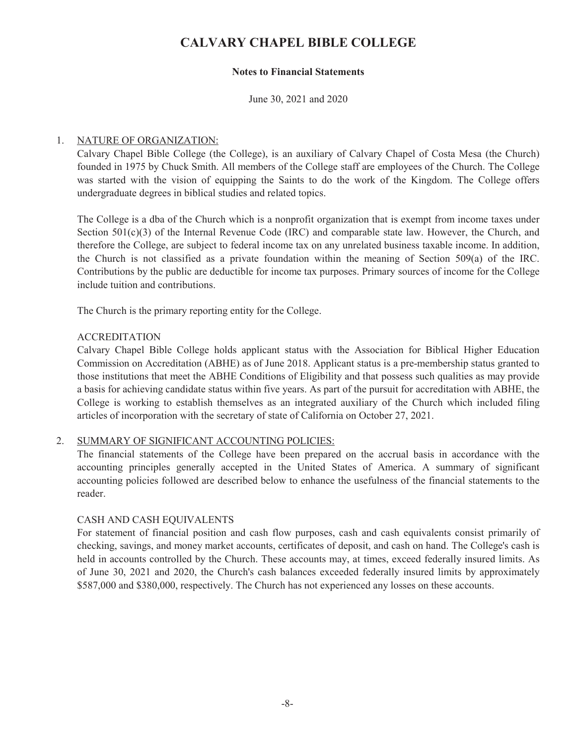#### **Notes to Financial Statements**

June 30, 2021 and 2020

#### 1. NATURE OF ORGANIZATION:

Calvary Chapel Bible College (the College), is an auxiliary of Calvary Chapel of Costa Mesa (the Church) founded in 1975 by Chuck Smith. All members of the College staff are employees of the Church. The College was started with the vision of equipping the Saints to do the work of the Kingdom. The College offers undergraduate degrees in biblical studies and related topics.

The College is a dba of the Church which is a nonprofit organization that is exempt from income taxes under Section 501(c)(3) of the Internal Revenue Code (IRC) and comparable state law. However, the Church, and therefore the College, are subject to federal income tax on any unrelated business taxable income. In addition, the Church is not classified as a private foundation within the meaning of Section 509(a) of the IRC. Contributions by the public are deductible for income tax purposes. Primary sources of income for the College include tuition and contributions.

The Church is the primary reporting entity for the College.

#### ACCREDITATION

Calvary Chapel Bible College holds applicant status with the Association for Biblical Higher Education Commission on Accreditation (ABHE) as of June 2018. Applicant status is a pre-membership status granted to those institutions that meet the ABHE Conditions of Eligibility and that possess such qualities as may provide a basis for achieving candidate status within five years. As part of the pursuit for accreditation with ABHE, the College is working to establish themselves as an integrated auxiliary of the Church which included filing articles of incorporation with the secretary of state of California on October 27, 2021.

#### 2. SUMMARY OF SIGNIFICANT ACCOUNTING POLICIES:

The financial statements of the College have been prepared on the accrual basis in accordance with the accounting principles generally accepted in the United States of America. A summary of significant accounting policies followed are described below to enhance the usefulness of the financial statements to the reader.

#### CASH AND CASH EQUIVALENTS

For statement of financial position and cash flow purposes, cash and cash equivalents consist primarily of checking, savings, and money market accounts, certificates of deposit, and cash on hand. The College's cash is held in accounts controlled by the Church. These accounts may, at times, exceed federally insured limits. As of June 30, 2021 and 2020, the Church's cash balances exceeded federally insured limits by approximately \$587,000 and \$380,000, respectively. The Church has not experienced any losses on these accounts.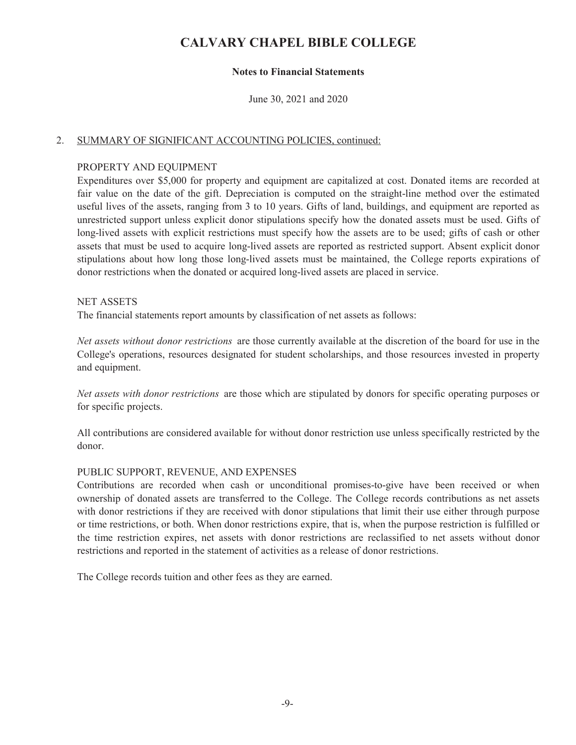#### **Notes to Financial Statements**

June 30, 2021 and 2020

#### 2. SUMMARY OF SIGNIFICANT ACCOUNTING POLICIES, continued:

#### PROPERTY AND EQUIPMENT

Expenditures over \$5,000 for property and equipment are capitalized at cost. Donated items are recorded at fair value on the date of the gift. Depreciation is computed on the straight-line method over the estimated useful lives of the assets, ranging from 3 to 10 years. Gifts of land, buildings, and equipment are reported as unrestricted support unless explicit donor stipulations specify how the donated assets must be used. Gifts of long-lived assets with explicit restrictions must specify how the assets are to be used; gifts of cash or other assets that must be used to acquire long-lived assets are reported as restricted support. Absent explicit donor stipulations about how long those long-lived assets must be maintained, the College reports expirations of donor restrictions when the donated or acquired long-lived assets are placed in service.

#### NET ASSETS

The financial statements report amounts by classification of net assets as follows:

*Net assets without donor restrictions* are those currently available at the discretion of the board for use in the College's operations, resources designated for student scholarships, and those resources invested in property and equipment.

*Net assets with donor restrictions* are those which are stipulated by donors for specific operating purposes or for specific projects.

All contributions are considered available for without donor restriction use unless specifically restricted by the donor.

#### PUBLIC SUPPORT, REVENUE, AND EXPENSES

Contributions are recorded when cash or unconditional promises-to-give have been received or when ownership of donated assets are transferred to the College. The College records contributions as net assets with donor restrictions if they are received with donor stipulations that limit their use either through purpose or time restrictions, or both. When donor restrictions expire, that is, when the purpose restriction is fulfilled or the time restriction expires, net assets with donor restrictions are reclassified to net assets without donor restrictions and reported in the statement of activities as a release of donor restrictions.

The College records tuition and other fees as they are earned.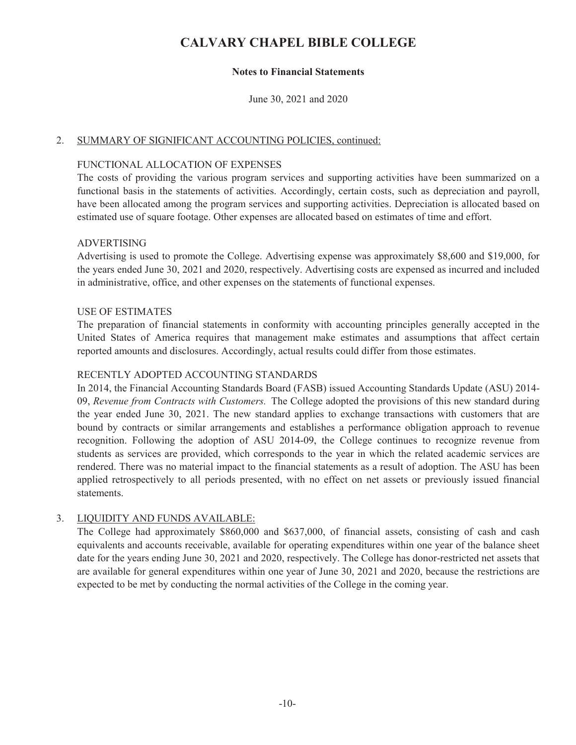#### **Notes to Financial Statements**

June 30, 2021 and 2020

#### 2. SUMMARY OF SIGNIFICANT ACCOUNTING POLICIES, continued:

#### FUNCTIONAL ALLOCATION OF EXPENSES

The costs of providing the various program services and supporting activities have been summarized on a functional basis in the statements of activities. Accordingly, certain costs, such as depreciation and payroll, have been allocated among the program services and supporting activities. Depreciation is allocated based on estimated use of square footage. Other expenses are allocated based on estimates of time and effort.

#### ADVERTISING

Advertising is used to promote the College. Advertising expense was approximately \$8,600 and \$19,000, for the years ended June 30, 2021 and 2020, respectively. Advertising costs are expensed as incurred and included in administrative, office, and other expenses on the statements of functional expenses.

#### USE OF ESTIMATES

The preparation of financial statements in conformity with accounting principles generally accepted in the United States of America requires that management make estimates and assumptions that affect certain reported amounts and disclosures. Accordingly, actual results could differ from those estimates.

#### RECENTLY ADOPTED ACCOUNTING STANDARDS

In 2014, the Financial Accounting Standards Board (FASB) issued Accounting Standards Update (ASU) 2014- 09, *Revenue from Contracts with Customers.* The College adopted the provisions of this new standard during the year ended June 30, 2021. The new standard applies to exchange transactions with customers that are bound by contracts or similar arrangements and establishes a performance obligation approach to revenue recognition. Following the adoption of ASU 2014-09, the College continues to recognize revenue from students as services are provided, which corresponds to the year in which the related academic services are rendered. There was no material impact to the financial statements as a result of adoption. The ASU has been applied retrospectively to all periods presented, with no effect on net assets or previously issued financial statements.

#### 3. LIQUIDITY AND FUNDS AVAILABLE:

The College had approximately \$860,000 and \$637,000, of financial assets, consisting of cash and cash equivalents and accounts receivable, available for operating expenditures within one year of the balance sheet date for the years ending June 30, 2021 and 2020, respectively. The College has donor-restricted net assets that are available for general expenditures within one year of June 30, 2021 and 2020, because the restrictions are expected to be met by conducting the normal activities of the College in the coming year.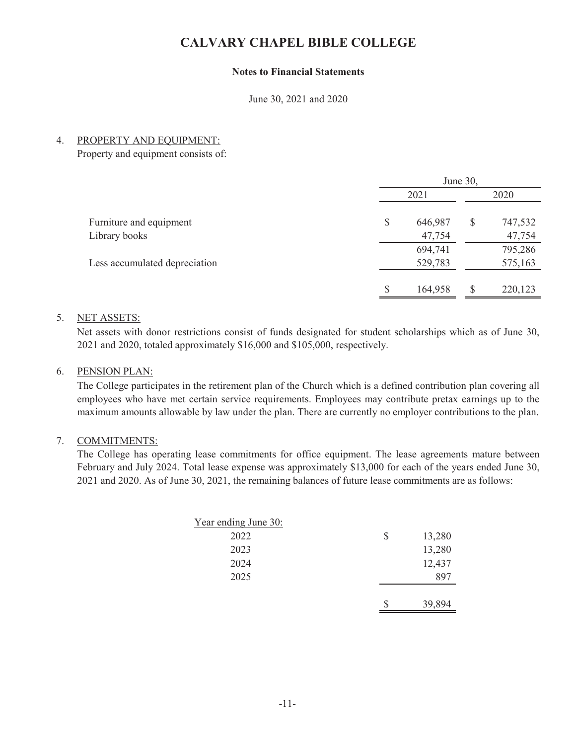#### **Notes to Financial Statements**

June 30, 2021 and 2020

#### 4. PROPERTY AND EQUIPMENT:

Property and equipment consists of:

|                               | June 30, |         |   |         |  |  |
|-------------------------------|----------|---------|---|---------|--|--|
| Furniture and equipment       | 2021     |         |   | 2020    |  |  |
|                               | \$       | 646,987 | S | 747,532 |  |  |
| Library books                 |          | 47,754  |   | 47,754  |  |  |
|                               |          | 694,741 |   | 795,286 |  |  |
| Less accumulated depreciation |          | 529,783 |   | 575,163 |  |  |
|                               |          |         |   |         |  |  |
|                               | S        | 164,958 |   | 220,123 |  |  |

#### 5. NET ASSETS:

Net assets with donor restrictions consist of funds designated for student scholarships which as of June 30, 2021 and 2020, totaled approximately \$16,000 and \$105,000, respectively.

#### 6. PENSION PLAN:

The College participates in the retirement plan of the Church which is a defined contribution plan covering all employees who have met certain service requirements. Employees may contribute pretax earnings up to the maximum amounts allowable by law under the plan. There are currently no employer contributions to the plan.

#### 7. COMMITMENTS:

The College has operating lease commitments for office equipment. The lease agreements mature between February and July 2024. Total lease expense was approximately \$13,000 for each of the years ended June 30, 2021 and 2020. As of June 30, 2021, the remaining balances of future lease commitments are as follows:

| Year ending June 30: |               |        |
|----------------------|---------------|--------|
| 2022                 | $\mathcal{S}$ | 13,280 |
| 2023                 |               | 13,280 |
| 2024                 |               | 12,437 |
| 2025                 |               | 897    |
|                      |               |        |
|                      | S             | 39,894 |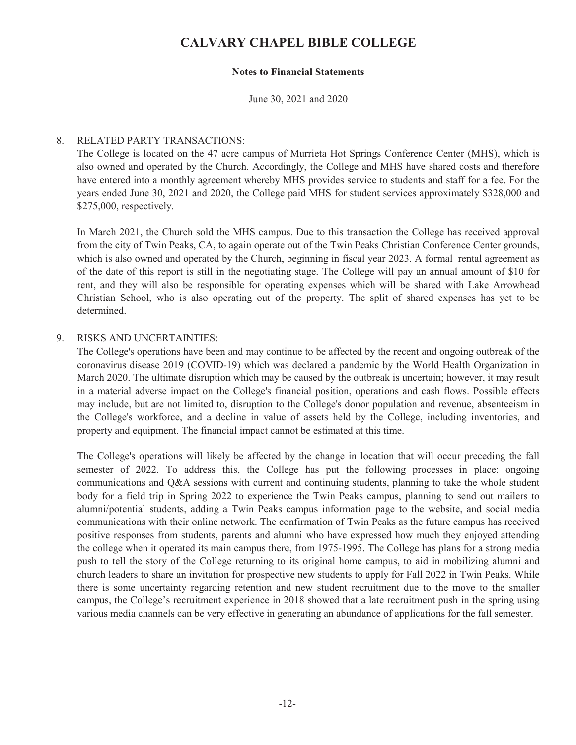#### **Notes to Financial Statements**

June 30, 2021 and 2020

#### 8. RELATED PARTY TRANSACTIONS:

The College is located on the 47 acre campus of Murrieta Hot Springs Conference Center (MHS), which is also owned and operated by the Church. Accordingly, the College and MHS have shared costs and therefore have entered into a monthly agreement whereby MHS provides service to students and staff for a fee. For the years ended June 30, 2021 and 2020, the College paid MHS for student services approximately \$328,000 and \$275,000, respectively.

In March 2021, the Church sold the MHS campus. Due to this transaction the College has received approval from the city of Twin Peaks, CA, to again operate out of the Twin Peaks Christian Conference Center grounds, which is also owned and operated by the Church, beginning in fiscal year 2023. A formal rental agreement as of the date of this report is still in the negotiating stage. The College will pay an annual amount of \$10 for rent, and they will also be responsible for operating expenses which will be shared with Lake Arrowhead Christian School, who is also operating out of the property. The split of shared expenses has yet to be determined.

#### 9. RISKS AND UNCERTAINTIES:

The College's operations have been and may continue to be affected by the recent and ongoing outbreak of the coronavirus disease 2019 (COVID-19) which was declared a pandemic by the World Health Organization in March 2020. The ultimate disruption which may be caused by the outbreak is uncertain; however, it may result in a material adverse impact on the College's financial position, operations and cash flows. Possible effects may include, but are not limited to, disruption to the College's donor population and revenue, absenteeism in the College's workforce, and a decline in value of assets held by the College, including inventories, and property and equipment. The financial impact cannot be estimated at this time.

The College's operations will likely be affected by the change in location that will occur preceding the fall semester of 2022. To address this, the College has put the following processes in place: ongoing communications and Q&A sessions with current and continuing students, planning to take the whole student body for a field trip in Spring 2022 to experience the Twin Peaks campus, planning to send out mailers to alumni/potential students, adding a Twin Peaks campus information page to the website, and social media communications with their online network. The confirmation of Twin Peaks as the future campus has received positive responses from students, parents and alumni who have expressed how much they enjoyed attending the college when it operated its main campus there, from 1975-1995. The College has plans for a strong media push to tell the story of the College returning to its original home campus, to aid in mobilizing alumni and church leaders to share an invitation for prospective new students to apply for Fall 2022 in Twin Peaks. While there is some uncertainty regarding retention and new student recruitment due to the move to the smaller campus, the College's recruitment experience in 2018 showed that a late recruitment push in the spring using various media channels can be very effective in generating an abundance of applications for the fall semester.